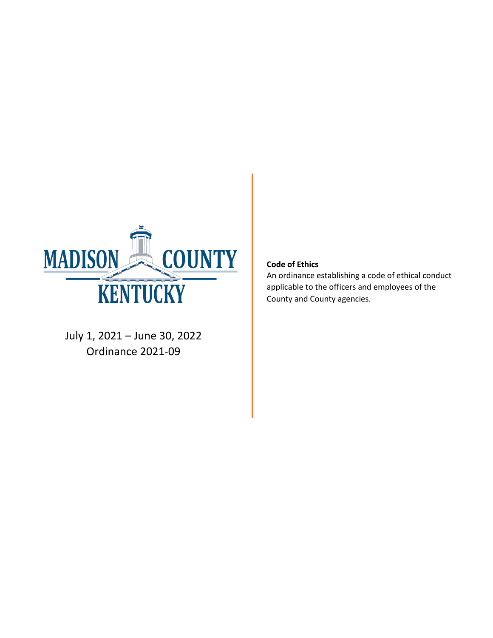

July 1, 2021 – June 30, 2022 Ordinance 2021-09

#### **Code of Ethics**

An ordinance establishing a code of ethical conduct applicable to the officers and employees of the County and County agencies.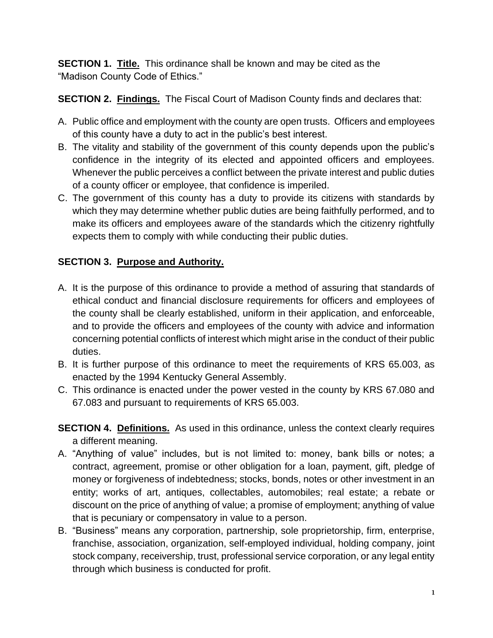**SECTION 1. Title.** This ordinance shall be known and may be cited as the "Madison County Code of Ethics."

**SECTION 2. Findings.** The Fiscal Court of Madison County finds and declares that:

- A. Public office and employment with the county are open trusts. Officers and employees of this county have a duty to act in the public's best interest.
- B. The vitality and stability of the government of this county depends upon the public's confidence in the integrity of its elected and appointed officers and employees. Whenever the public perceives a conflict between the private interest and public duties of a county officer or employee, that confidence is imperiled.
- C. The government of this county has a duty to provide its citizens with standards by which they may determine whether public duties are being faithfully performed, and to make its officers and employees aware of the standards which the citizenry rightfully expects them to comply with while conducting their public duties.

## **SECTION 3. Purpose and Authority.**

- A. It is the purpose of this ordinance to provide a method of assuring that standards of ethical conduct and financial disclosure requirements for officers and employees of the county shall be clearly established, uniform in their application, and enforceable, and to provide the officers and employees of the county with advice and information concerning potential conflicts of interest which might arise in the conduct of their public duties.
- B. It is further purpose of this ordinance to meet the requirements of KRS 65.003, as enacted by the 1994 Kentucky General Assembly.
- C. This ordinance is enacted under the power vested in the county by KRS 67.080 and 67.083 and pursuant to requirements of KRS 65.003.
- **SECTION 4. Definitions.** As used in this ordinance, unless the context clearly requires a different meaning.
- A. "Anything of value" includes, but is not limited to: money, bank bills or notes; a contract, agreement, promise or other obligation for a loan, payment, gift, pledge of money or forgiveness of indebtedness; stocks, bonds, notes or other investment in an entity; works of art, antiques, collectables, automobiles; real estate; a rebate or discount on the price of anything of value; a promise of employment; anything of value that is pecuniary or compensatory in value to a person.
- B. "Business" means any corporation, partnership, sole proprietorship, firm, enterprise, franchise, association, organization, self-employed individual, holding company, joint stock company, receivership, trust, professional service corporation, or any legal entity through which business is conducted for profit.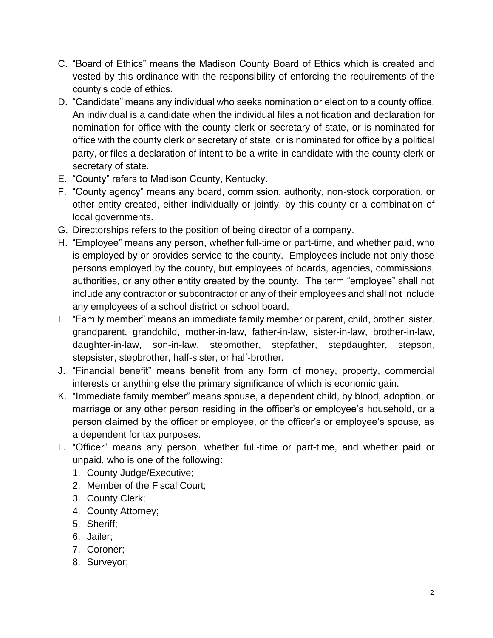- C. "Board of Ethics" means the Madison County Board of Ethics which is created and vested by this ordinance with the responsibility of enforcing the requirements of the county's code of ethics.
- D. "Candidate" means any individual who seeks nomination or election to a county office. An individual is a candidate when the individual files a notification and declaration for nomination for office with the county clerk or secretary of state, or is nominated for office with the county clerk or secretary of state, or is nominated for office by a political party, or files a declaration of intent to be a write-in candidate with the county clerk or secretary of state.
- E. "County" refers to Madison County, Kentucky.
- F. "County agency" means any board, commission, authority, non-stock corporation, or other entity created, either individually or jointly, by this county or a combination of local governments.
- G. Directorships refers to the position of being director of a company.
- H. "Employee" means any person, whether full-time or part-time, and whether paid, who is employed by or provides service to the county. Employees include not only those persons employed by the county, but employees of boards, agencies, commissions, authorities, or any other entity created by the county. The term "employee" shall not include any contractor or subcontractor or any of their employees and shall not include any employees of a school district or school board.
- I. "Family member" means an immediate family member or parent, child, brother, sister, grandparent, grandchild, mother-in-law, father-in-law, sister-in-law, brother-in-law, daughter-in-law, son-in-law, stepmother, stepfather, stepdaughter, stepson, stepsister, stepbrother, half-sister, or half-brother.
- J. "Financial benefit" means benefit from any form of money, property, commercial interests or anything else the primary significance of which is economic gain.
- K. "Immediate family member" means spouse, a dependent child, by blood, adoption, or marriage or any other person residing in the officer's or employee's household, or a person claimed by the officer or employee, or the officer's or employee's spouse, as a dependent for tax purposes.
- L. "Officer" means any person, whether full-time or part-time, and whether paid or unpaid, who is one of the following:
	- 1. County Judge/Executive;
	- 2. Member of the Fiscal Court;
	- 3. County Clerk;
	- 4. County Attorney;
	- 5. Sheriff;
	- 6. Jailer;
	- 7. Coroner;
	- 8. Surveyor;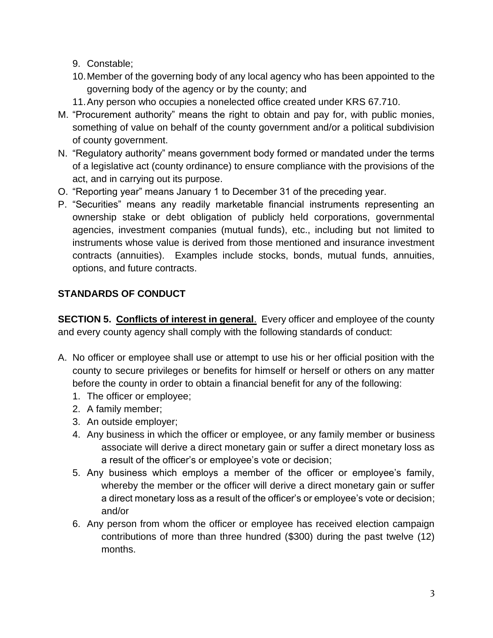- 9. Constable;
- 10.Member of the governing body of any local agency who has been appointed to the governing body of the agency or by the county; and
- 11.Any person who occupies a nonelected office created under KRS 67.710.
- M. "Procurement authority" means the right to obtain and pay for, with public monies, something of value on behalf of the county government and/or a political subdivision of county government.
- N. "Regulatory authority" means government body formed or mandated under the terms of a legislative act (county ordinance) to ensure compliance with the provisions of the act, and in carrying out its purpose.
- O. "Reporting year" means January 1 to December 31 of the preceding year.
- P. "Securities" means any readily marketable financial instruments representing an ownership stake or debt obligation of publicly held corporations, governmental agencies, investment companies (mutual funds), etc., including but not limited to instruments whose value is derived from those mentioned and insurance investment contracts (annuities). Examples include stocks, bonds, mutual funds, annuities, options, and future contracts.

## **STANDARDS OF CONDUCT**

**SECTION 5. Conflicts of interest in general**. Every officer and employee of the county and every county agency shall comply with the following standards of conduct:

- A. No officer or employee shall use or attempt to use his or her official position with the county to secure privileges or benefits for himself or herself or others on any matter before the county in order to obtain a financial benefit for any of the following:
	- 1. The officer or employee;
	- 2. A family member;
	- 3. An outside employer;
	- 4. Any business in which the officer or employee, or any family member or business associate will derive a direct monetary gain or suffer a direct monetary loss as a result of the officer's or employee's vote or decision;
	- 5. Any business which employs a member of the officer or employee's family, whereby the member or the officer will derive a direct monetary gain or suffer a direct monetary loss as a result of the officer's or employee's vote or decision; and/or
	- 6. Any person from whom the officer or employee has received election campaign contributions of more than three hundred (\$300) during the past twelve (12) months.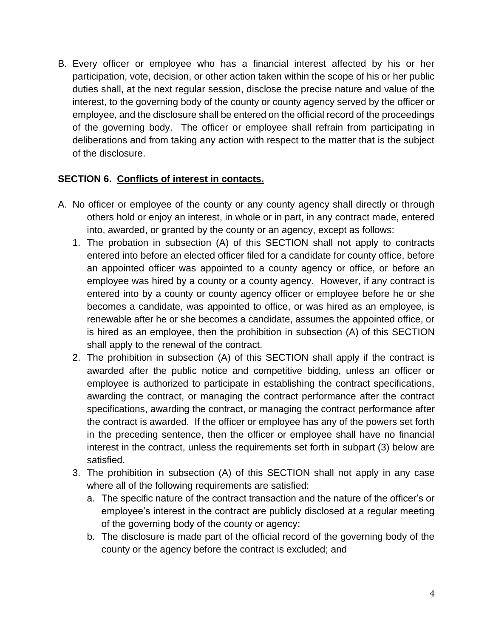B. Every officer or employee who has a financial interest affected by his or her participation, vote, decision, or other action taken within the scope of his or her public duties shall, at the next regular session, disclose the precise nature and value of the interest, to the governing body of the county or county agency served by the officer or employee, and the disclosure shall be entered on the official record of the proceedings of the governing body. The officer or employee shall refrain from participating in deliberations and from taking any action with respect to the matter that is the subject of the disclosure.

### **SECTION 6. Conflicts of interest in contacts.**

- A. No officer or employee of the county or any county agency shall directly or through others hold or enjoy an interest, in whole or in part, in any contract made, entered into, awarded, or granted by the county or an agency, except as follows:
	- 1. The probation in subsection (A) of this SECTION shall not apply to contracts entered into before an elected officer filed for a candidate for county office, before an appointed officer was appointed to a county agency or office, or before an employee was hired by a county or a county agency. However, if any contract is entered into by a county or county agency officer or employee before he or she becomes a candidate, was appointed to office, or was hired as an employee, is renewable after he or she becomes a candidate, assumes the appointed office, or is hired as an employee, then the prohibition in subsection (A) of this SECTION shall apply to the renewal of the contract.
	- 2. The prohibition in subsection (A) of this SECTION shall apply if the contract is awarded after the public notice and competitive bidding, unless an officer or employee is authorized to participate in establishing the contract specifications, awarding the contract, or managing the contract performance after the contract specifications, awarding the contract, or managing the contract performance after the contract is awarded. If the officer or employee has any of the powers set forth in the preceding sentence, then the officer or employee shall have no financial interest in the contract, unless the requirements set forth in subpart (3) below are satisfied.
	- 3. The prohibition in subsection (A) of this SECTION shall not apply in any case where all of the following requirements are satisfied:
		- a. The specific nature of the contract transaction and the nature of the officer's or employee's interest in the contract are publicly disclosed at a regular meeting of the governing body of the county or agency;
		- b. The disclosure is made part of the official record of the governing body of the county or the agency before the contract is excluded; and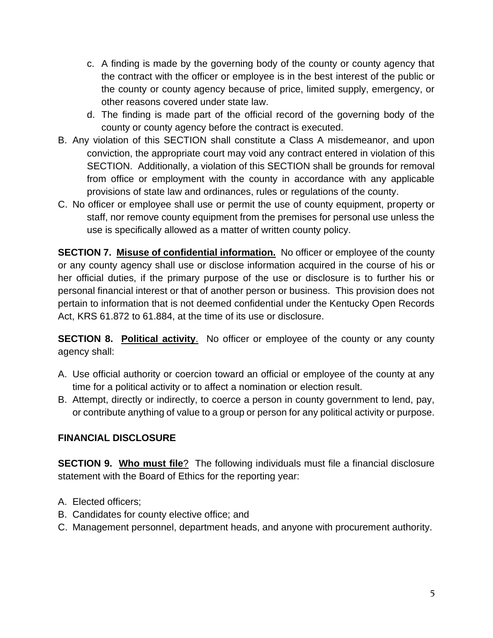- c. A finding is made by the governing body of the county or county agency that the contract with the officer or employee is in the best interest of the public or the county or county agency because of price, limited supply, emergency, or other reasons covered under state law.
- d. The finding is made part of the official record of the governing body of the county or county agency before the contract is executed.
- B. Any violation of this SECTION shall constitute a Class A misdemeanor, and upon conviction, the appropriate court may void any contract entered in violation of this SECTION. Additionally, a violation of this SECTION shall be grounds for removal from office or employment with the county in accordance with any applicable provisions of state law and ordinances, rules or regulations of the county.
- C. No officer or employee shall use or permit the use of county equipment, property or staff, nor remove county equipment from the premises for personal use unless the use is specifically allowed as a matter of written county policy.

**SECTION 7. Misuse of confidential information.** No officer or employee of the county or any county agency shall use or disclose information acquired in the course of his or her official duties, if the primary purpose of the use or disclosure is to further his or personal financial interest or that of another person or business. This provision does not pertain to information that is not deemed confidential under the Kentucky Open Records Act, KRS 61.872 to 61.884, at the time of its use or disclosure.

**SECTION 8. Political activity**. No officer or employee of the county or any county agency shall:

- A. Use official authority or coercion toward an official or employee of the county at any time for a political activity or to affect a nomination or election result.
- B. Attempt, directly or indirectly, to coerce a person in county government to lend, pay, or contribute anything of value to a group or person for any political activity or purpose.

### **FINANCIAL DISCLOSURE**

**SECTION 9. Who must file**? The following individuals must file a financial disclosure statement with the Board of Ethics for the reporting year:

- A. Elected officers;
- B. Candidates for county elective office; and
- C. Management personnel, department heads, and anyone with procurement authority.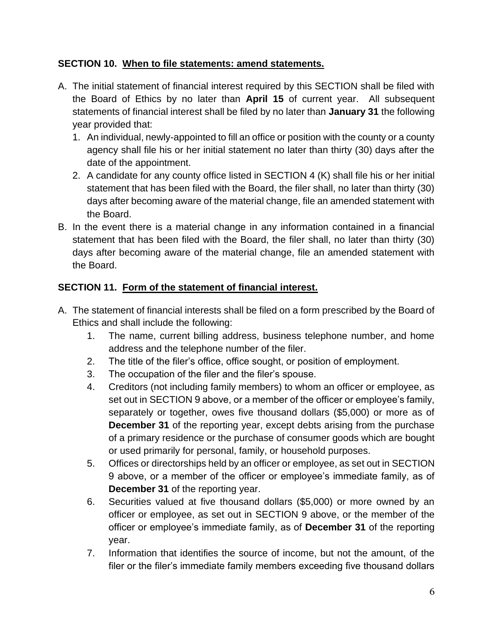### **SECTION 10. When to file statements: amend statements.**

- A. The initial statement of financial interest required by this SECTION shall be filed with the Board of Ethics by no later than **April 15** of current year. All subsequent statements of financial interest shall be filed by no later than **January 31** the following year provided that:
	- 1. An individual, newly-appointed to fill an office or position with the county or a county agency shall file his or her initial statement no later than thirty (30) days after the date of the appointment.
	- 2. A candidate for any county office listed in SECTION 4 (K) shall file his or her initial statement that has been filed with the Board, the filer shall, no later than thirty (30) days after becoming aware of the material change, file an amended statement with the Board.
- B. In the event there is a material change in any information contained in a financial statement that has been filed with the Board, the filer shall, no later than thirty (30) days after becoming aware of the material change, file an amended statement with the Board.

### **SECTION 11. Form of the statement of financial interest.**

- A. The statement of financial interests shall be filed on a form prescribed by the Board of Ethics and shall include the following:
	- 1. The name, current billing address, business telephone number, and home address and the telephone number of the filer.
	- 2. The title of the filer's office, office sought, or position of employment.
	- 3. The occupation of the filer and the filer's spouse.
	- 4. Creditors (not including family members) to whom an officer or employee, as set out in SECTION 9 above, or a member of the officer or employee's family, separately or together, owes five thousand dollars (\$5,000) or more as of **December 31** of the reporting year, except debts arising from the purchase of a primary residence or the purchase of consumer goods which are bought or used primarily for personal, family, or household purposes.
	- 5. Offices or directorships held by an officer or employee, as set out in SECTION 9 above, or a member of the officer or employee's immediate family, as of **December 31** of the reporting year.
	- 6. Securities valued at five thousand dollars (\$5,000) or more owned by an officer or employee, as set out in SECTION 9 above, or the member of the officer or employee's immediate family, as of **December 31** of the reporting year.
	- 7. Information that identifies the source of income, but not the amount, of the filer or the filer's immediate family members exceeding five thousand dollars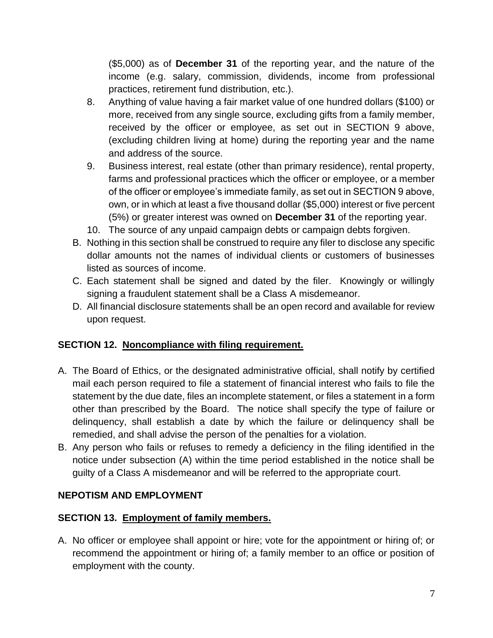(\$5,000) as of **December 31** of the reporting year, and the nature of the income (e.g. salary, commission, dividends, income from professional practices, retirement fund distribution, etc.).

- 8. Anything of value having a fair market value of one hundred dollars (\$100) or more, received from any single source, excluding gifts from a family member, received by the officer or employee, as set out in SECTION 9 above, (excluding children living at home) during the reporting year and the name and address of the source.
- 9. Business interest, real estate (other than primary residence), rental property, farms and professional practices which the officer or employee, or a member of the officer or employee's immediate family, as set out in SECTION 9 above, own, or in which at least a five thousand dollar (\$5,000) interest or five percent (5%) or greater interest was owned on **December 31** of the reporting year.
- 10. The source of any unpaid campaign debts or campaign debts forgiven.
- B. Nothing in this section shall be construed to require any filer to disclose any specific dollar amounts not the names of individual clients or customers of businesses listed as sources of income.
- C. Each statement shall be signed and dated by the filer. Knowingly or willingly signing a fraudulent statement shall be a Class A misdemeanor.
- D. All financial disclosure statements shall be an open record and available for review upon request.

### **SECTION 12. Noncompliance with filing requirement.**

- A. The Board of Ethics, or the designated administrative official, shall notify by certified mail each person required to file a statement of financial interest who fails to file the statement by the due date, files an incomplete statement, or files a statement in a form other than prescribed by the Board. The notice shall specify the type of failure or delinquency, shall establish a date by which the failure or delinquency shall be remedied, and shall advise the person of the penalties for a violation.
- B. Any person who fails or refuses to remedy a deficiency in the filing identified in the notice under subsection (A) within the time period established in the notice shall be guilty of a Class A misdemeanor and will be referred to the appropriate court.

## **NEPOTISM AND EMPLOYMENT**

### **SECTION 13. Employment of family members.**

A. No officer or employee shall appoint or hire; vote for the appointment or hiring of; or recommend the appointment or hiring of; a family member to an office or position of employment with the county.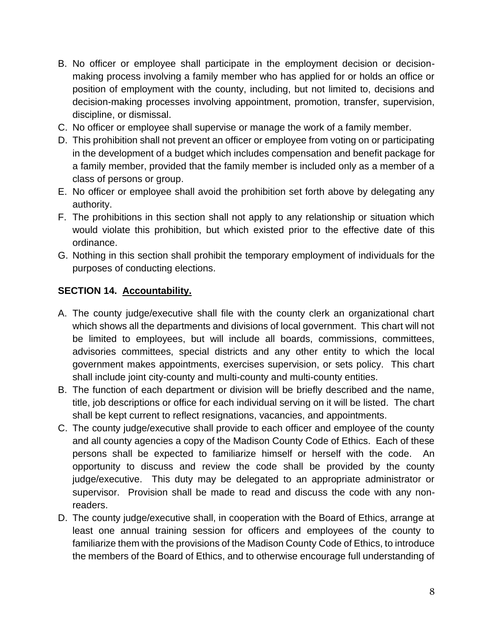- B. No officer or employee shall participate in the employment decision or decisionmaking process involving a family member who has applied for or holds an office or position of employment with the county, including, but not limited to, decisions and decision-making processes involving appointment, promotion, transfer, supervision, discipline, or dismissal.
- C. No officer or employee shall supervise or manage the work of a family member.
- D. This prohibition shall not prevent an officer or employee from voting on or participating in the development of a budget which includes compensation and benefit package for a family member, provided that the family member is included only as a member of a class of persons or group.
- E. No officer or employee shall avoid the prohibition set forth above by delegating any authority.
- F. The prohibitions in this section shall not apply to any relationship or situation which would violate this prohibition, but which existed prior to the effective date of this ordinance.
- G. Nothing in this section shall prohibit the temporary employment of individuals for the purposes of conducting elections.

#### **SECTION 14. Accountability.**

- A. The county judge/executive shall file with the county clerk an organizational chart which shows all the departments and divisions of local government. This chart will not be limited to employees, but will include all boards, commissions, committees, advisories committees, special districts and any other entity to which the local government makes appointments, exercises supervision, or sets policy. This chart shall include joint city-county and multi-county and multi-county entities.
- B. The function of each department or division will be briefly described and the name, title, job descriptions or office for each individual serving on it will be listed. The chart shall be kept current to reflect resignations, vacancies, and appointments.
- C. The county judge/executive shall provide to each officer and employee of the county and all county agencies a copy of the Madison County Code of Ethics. Each of these persons shall be expected to familiarize himself or herself with the code. An opportunity to discuss and review the code shall be provided by the county judge/executive. This duty may be delegated to an appropriate administrator or supervisor. Provision shall be made to read and discuss the code with any nonreaders.
- D. The county judge/executive shall, in cooperation with the Board of Ethics, arrange at least one annual training session for officers and employees of the county to familiarize them with the provisions of the Madison County Code of Ethics, to introduce the members of the Board of Ethics, and to otherwise encourage full understanding of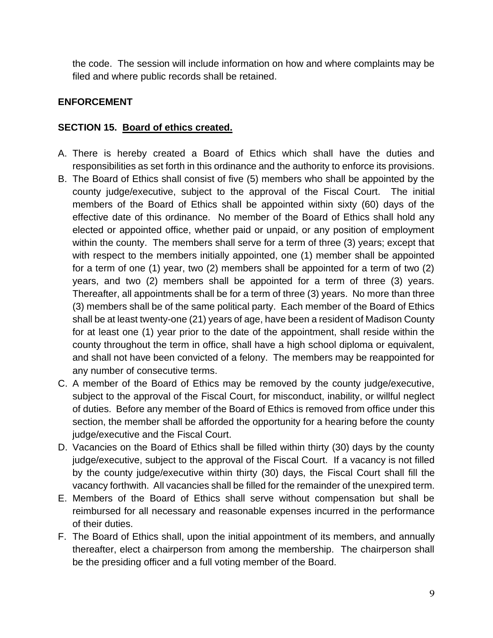the code. The session will include information on how and where complaints may be filed and where public records shall be retained.

#### **ENFORCEMENT**

#### **SECTION 15. Board of ethics created.**

- A. There is hereby created a Board of Ethics which shall have the duties and responsibilities as set forth in this ordinance and the authority to enforce its provisions.
- B. The Board of Ethics shall consist of five (5) members who shall be appointed by the county judge/executive, subject to the approval of the Fiscal Court. The initial members of the Board of Ethics shall be appointed within sixty (60) days of the effective date of this ordinance. No member of the Board of Ethics shall hold any elected or appointed office, whether paid or unpaid, or any position of employment within the county. The members shall serve for a term of three (3) years; except that with respect to the members initially appointed, one (1) member shall be appointed for a term of one (1) year, two (2) members shall be appointed for a term of two (2) years, and two (2) members shall be appointed for a term of three (3) years. Thereafter, all appointments shall be for a term of three (3) years. No more than three (3) members shall be of the same political party. Each member of the Board of Ethics shall be at least twenty-one (21) years of age, have been a resident of Madison County for at least one (1) year prior to the date of the appointment, shall reside within the county throughout the term in office, shall have a high school diploma or equivalent, and shall not have been convicted of a felony. The members may be reappointed for any number of consecutive terms.
- C. A member of the Board of Ethics may be removed by the county judge/executive, subject to the approval of the Fiscal Court, for misconduct, inability, or willful neglect of duties. Before any member of the Board of Ethics is removed from office under this section, the member shall be afforded the opportunity for a hearing before the county judge/executive and the Fiscal Court.
- D. Vacancies on the Board of Ethics shall be filled within thirty (30) days by the county judge/executive, subject to the approval of the Fiscal Court. If a vacancy is not filled by the county judge/executive within thirty (30) days, the Fiscal Court shall fill the vacancy forthwith. All vacancies shall be filled for the remainder of the unexpired term.
- E. Members of the Board of Ethics shall serve without compensation but shall be reimbursed for all necessary and reasonable expenses incurred in the performance of their duties.
- F. The Board of Ethics shall, upon the initial appointment of its members, and annually thereafter, elect a chairperson from among the membership. The chairperson shall be the presiding officer and a full voting member of the Board.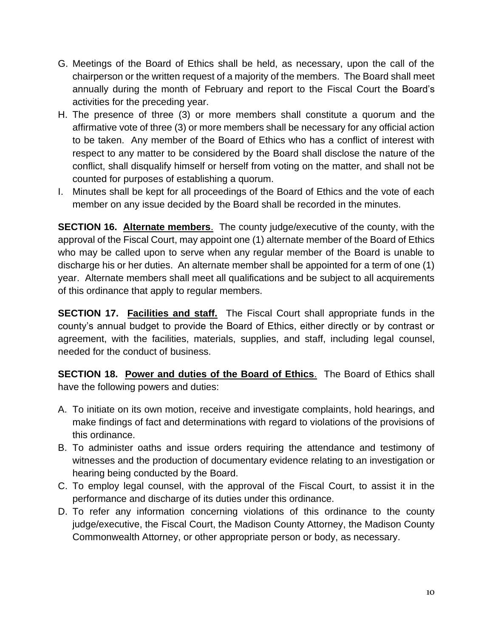- G. Meetings of the Board of Ethics shall be held, as necessary, upon the call of the chairperson or the written request of a majority of the members. The Board shall meet annually during the month of February and report to the Fiscal Court the Board's activities for the preceding year.
- H. The presence of three (3) or more members shall constitute a quorum and the affirmative vote of three (3) or more members shall be necessary for any official action to be taken. Any member of the Board of Ethics who has a conflict of interest with respect to any matter to be considered by the Board shall disclose the nature of the conflict, shall disqualify himself or herself from voting on the matter, and shall not be counted for purposes of establishing a quorum.
- I. Minutes shall be kept for all proceedings of the Board of Ethics and the vote of each member on any issue decided by the Board shall be recorded in the minutes.

**SECTION 16. Alternate members**. The county judge/executive of the county, with the approval of the Fiscal Court, may appoint one (1) alternate member of the Board of Ethics who may be called upon to serve when any regular member of the Board is unable to discharge his or her duties. An alternate member shall be appointed for a term of one (1) year. Alternate members shall meet all qualifications and be subject to all acquirements of this ordinance that apply to regular members.

**SECTION 17. Facilities and staff.** The Fiscal Court shall appropriate funds in the county's annual budget to provide the Board of Ethics, either directly or by contrast or agreement, with the facilities, materials, supplies, and staff, including legal counsel, needed for the conduct of business.

**SECTION 18. Power and duties of the Board of Ethics**. The Board of Ethics shall have the following powers and duties:

- A. To initiate on its own motion, receive and investigate complaints, hold hearings, and make findings of fact and determinations with regard to violations of the provisions of this ordinance.
- B. To administer oaths and issue orders requiring the attendance and testimony of witnesses and the production of documentary evidence relating to an investigation or hearing being conducted by the Board.
- C. To employ legal counsel, with the approval of the Fiscal Court, to assist it in the performance and discharge of its duties under this ordinance.
- D. To refer any information concerning violations of this ordinance to the county judge/executive, the Fiscal Court, the Madison County Attorney, the Madison County Commonwealth Attorney, or other appropriate person or body, as necessary.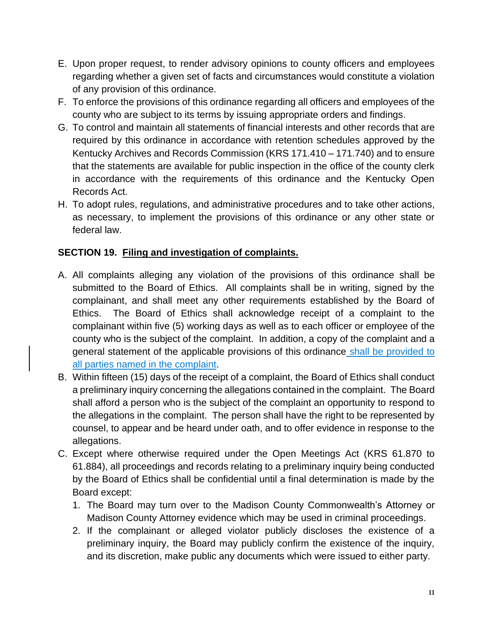- E. Upon proper request, to render advisory opinions to county officers and employees regarding whether a given set of facts and circumstances would constitute a violation of any provision of this ordinance.
- F. To enforce the provisions of this ordinance regarding all officers and employees of the county who are subject to its terms by issuing appropriate orders and findings.
- G. To control and maintain all statements of financial interests and other records that are required by this ordinance in accordance with retention schedules approved by the Kentucky Archives and Records Commission (KRS 171.410 – 171.740) and to ensure that the statements are available for public inspection in the office of the county clerk in accordance with the requirements of this ordinance and the Kentucky Open Records Act.
- H. To adopt rules, regulations, and administrative procedures and to take other actions, as necessary, to implement the provisions of this ordinance or any other state or federal law.

### **SECTION 19. Filing and investigation of complaints.**

- A. All complaints alleging any violation of the provisions of this ordinance shall be submitted to the Board of Ethics. All complaints shall be in writing, signed by the complainant, and shall meet any other requirements established by the Board of Ethics. The Board of Ethics shall acknowledge receipt of a complaint to the complainant within five (5) working days as well as to each officer or employee of the county who is the subject of the complaint. In addition, a copy of the complaint and a general statement of the applicable provisions of this ordinance shall be provided to all parties named in the complaint.
- B. Within fifteen (15) days of the receipt of a complaint, the Board of Ethics shall conduct a preliminary inquiry concerning the allegations contained in the complaint. The Board shall afford a person who is the subject of the complaint an opportunity to respond to the allegations in the complaint. The person shall have the right to be represented by counsel, to appear and be heard under oath, and to offer evidence in response to the allegations.
- C. Except where otherwise required under the Open Meetings Act (KRS 61.870 to 61.884), all proceedings and records relating to a preliminary inquiry being conducted by the Board of Ethics shall be confidential until a final determination is made by the Board except:
	- 1. The Board may turn over to the Madison County Commonwealth's Attorney or Madison County Attorney evidence which may be used in criminal proceedings.
	- 2. If the complainant or alleged violator publicly discloses the existence of a preliminary inquiry, the Board may publicly confirm the existence of the inquiry, and its discretion, make public any documents which were issued to either party.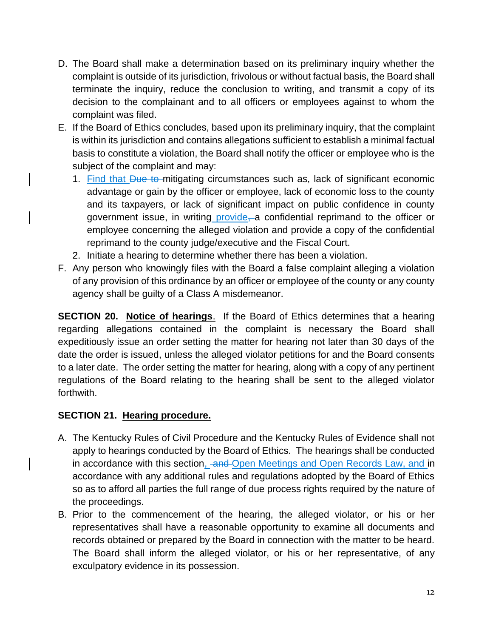- D. The Board shall make a determination based on its preliminary inquiry whether the complaint is outside of its jurisdiction, frivolous or without factual basis, the Board shall terminate the inquiry, reduce the conclusion to writing, and transmit a copy of its decision to the complainant and to all officers or employees against to whom the complaint was filed.
- E. If the Board of Ethics concludes, based upon its preliminary inquiry, that the complaint is within its jurisdiction and contains allegations sufficient to establish a minimal factual basis to constitute a violation, the Board shall notify the officer or employee who is the subject of the complaint and may:
	- 1. Find that Due to mitigating circumstances such as, lack of significant economic advantage or gain by the officer or employee, lack of economic loss to the county and its taxpayers, or lack of significant impact on public confidence in county government issue, in writing provide, a confidential reprimand to the officer or employee concerning the alleged violation and provide a copy of the confidential reprimand to the county judge/executive and the Fiscal Court.
	- 2. Initiate a hearing to determine whether there has been a violation.
- F. Any person who knowingly files with the Board a false complaint alleging a violation of any provision of this ordinance by an officer or employee of the county or any county agency shall be guilty of a Class A misdemeanor.

**SECTION 20. Notice of hearings**. If the Board of Ethics determines that a hearing regarding allegations contained in the complaint is necessary the Board shall expeditiously issue an order setting the matter for hearing not later than 30 days of the date the order is issued, unless the alleged violator petitions for and the Board consents to a later date. The order setting the matter for hearing, along with a copy of any pertinent regulations of the Board relating to the hearing shall be sent to the alleged violator forthwith.

#### **SECTION 21. Hearing procedure.**

- A. The Kentucky Rules of Civil Procedure and the Kentucky Rules of Evidence shall not apply to hearings conducted by the Board of Ethics. The hearings shall be conducted in accordance with this section, and Open Meetings and Open Records Law, and in accordance with any additional rules and regulations adopted by the Board of Ethics so as to afford all parties the full range of due process rights required by the nature of the proceedings.
- B. Prior to the commencement of the hearing, the alleged violator, or his or her representatives shall have a reasonable opportunity to examine all documents and records obtained or prepared by the Board in connection with the matter to be heard. The Board shall inform the alleged violator, or his or her representative, of any exculpatory evidence in its possession.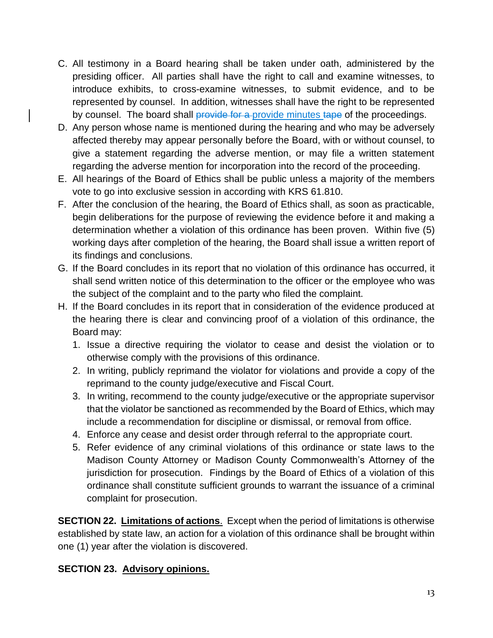- C. All testimony in a Board hearing shall be taken under oath, administered by the presiding officer. All parties shall have the right to call and examine witnesses, to introduce exhibits, to cross-examine witnesses, to submit evidence, and to be represented by counsel. In addition, witnesses shall have the right to be represented by counsel. The board shall provide for a provide minutes tape of the proceedings.
- D. Any person whose name is mentioned during the hearing and who may be adversely affected thereby may appear personally before the Board, with or without counsel, to give a statement regarding the adverse mention, or may file a written statement regarding the adverse mention for incorporation into the record of the proceeding.
- E. All hearings of the Board of Ethics shall be public unless a majority of the members vote to go into exclusive session in according with KRS 61.810.
- F. After the conclusion of the hearing, the Board of Ethics shall, as soon as practicable, begin deliberations for the purpose of reviewing the evidence before it and making a determination whether a violation of this ordinance has been proven. Within five (5) working days after completion of the hearing, the Board shall issue a written report of its findings and conclusions.
- G. If the Board concludes in its report that no violation of this ordinance has occurred, it shall send written notice of this determination to the officer or the employee who was the subject of the complaint and to the party who filed the complaint.
- H. If the Board concludes in its report that in consideration of the evidence produced at the hearing there is clear and convincing proof of a violation of this ordinance, the Board may:
	- 1. Issue a directive requiring the violator to cease and desist the violation or to otherwise comply with the provisions of this ordinance.
	- 2. In writing, publicly reprimand the violator for violations and provide a copy of the reprimand to the county judge/executive and Fiscal Court.
	- 3. In writing, recommend to the county judge/executive or the appropriate supervisor that the violator be sanctioned as recommended by the Board of Ethics, which may include a recommendation for discipline or dismissal, or removal from office.
	- 4. Enforce any cease and desist order through referral to the appropriate court.
	- 5. Refer evidence of any criminal violations of this ordinance or state laws to the Madison County Attorney or Madison County Commonwealth's Attorney of the jurisdiction for prosecution. Findings by the Board of Ethics of a violation of this ordinance shall constitute sufficient grounds to warrant the issuance of a criminal complaint for prosecution.

**SECTION 22. Limitations of actions**. Except when the period of limitations is otherwise established by state law, an action for a violation of this ordinance shall be brought within one (1) year after the violation is discovered.

### **SECTION 23. Advisory opinions.**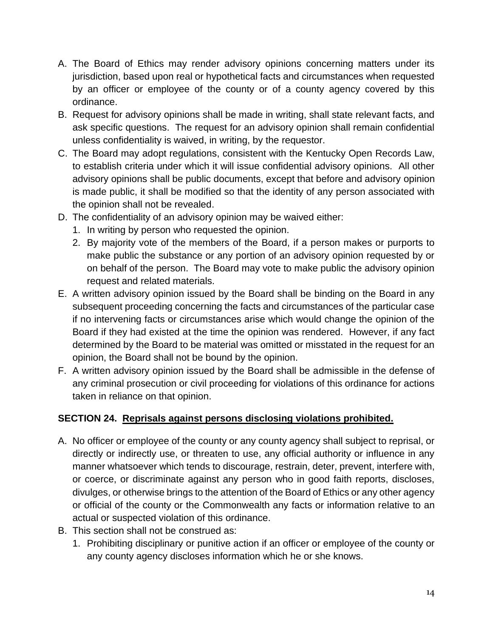- A. The Board of Ethics may render advisory opinions concerning matters under its jurisdiction, based upon real or hypothetical facts and circumstances when requested by an officer or employee of the county or of a county agency covered by this ordinance.
- B. Request for advisory opinions shall be made in writing, shall state relevant facts, and ask specific questions. The request for an advisory opinion shall remain confidential unless confidentiality is waived, in writing, by the requestor.
- C. The Board may adopt regulations, consistent with the Kentucky Open Records Law, to establish criteria under which it will issue confidential advisory opinions. All other advisory opinions shall be public documents, except that before and advisory opinion is made public, it shall be modified so that the identity of any person associated with the opinion shall not be revealed.
- D. The confidentiality of an advisory opinion may be waived either:
	- 1. In writing by person who requested the opinion.
	- 2. By majority vote of the members of the Board, if a person makes or purports to make public the substance or any portion of an advisory opinion requested by or on behalf of the person. The Board may vote to make public the advisory opinion request and related materials.
- E. A written advisory opinion issued by the Board shall be binding on the Board in any subsequent proceeding concerning the facts and circumstances of the particular case if no intervening facts or circumstances arise which would change the opinion of the Board if they had existed at the time the opinion was rendered. However, if any fact determined by the Board to be material was omitted or misstated in the request for an opinion, the Board shall not be bound by the opinion.
- F. A written advisory opinion issued by the Board shall be admissible in the defense of any criminal prosecution or civil proceeding for violations of this ordinance for actions taken in reliance on that opinion.

#### **SECTION 24. Reprisals against persons disclosing violations prohibited.**

- A. No officer or employee of the county or any county agency shall subject to reprisal, or directly or indirectly use, or threaten to use, any official authority or influence in any manner whatsoever which tends to discourage, restrain, deter, prevent, interfere with, or coerce, or discriminate against any person who in good faith reports, discloses, divulges, or otherwise brings to the attention of the Board of Ethics or any other agency or official of the county or the Commonwealth any facts or information relative to an actual or suspected violation of this ordinance.
- B. This section shall not be construed as:
	- 1. Prohibiting disciplinary or punitive action if an officer or employee of the county or any county agency discloses information which he or she knows.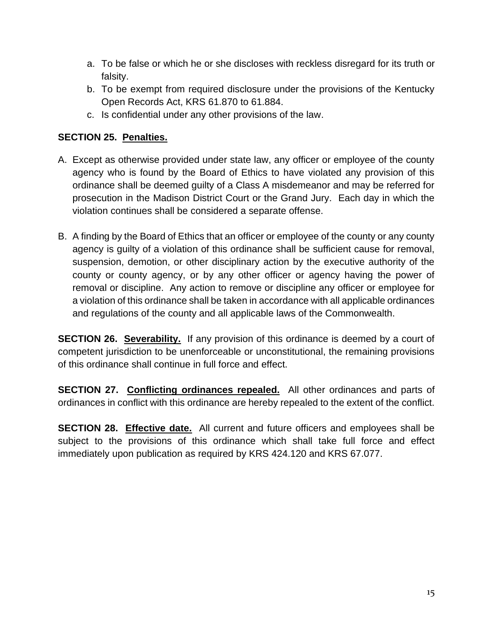- a. To be false or which he or she discloses with reckless disregard for its truth or falsity.
- b. To be exempt from required disclosure under the provisions of the Kentucky Open Records Act, KRS 61.870 to 61.884.
- c. Is confidential under any other provisions of the law.

### **SECTION 25. Penalties.**

- A. Except as otherwise provided under state law, any officer or employee of the county agency who is found by the Board of Ethics to have violated any provision of this ordinance shall be deemed guilty of a Class A misdemeanor and may be referred for prosecution in the Madison District Court or the Grand Jury. Each day in which the violation continues shall be considered a separate offense.
- B. A finding by the Board of Ethics that an officer or employee of the county or any county agency is guilty of a violation of this ordinance shall be sufficient cause for removal, suspension, demotion, or other disciplinary action by the executive authority of the county or county agency, or by any other officer or agency having the power of removal or discipline. Any action to remove or discipline any officer or employee for a violation of this ordinance shall be taken in accordance with all applicable ordinances and regulations of the county and all applicable laws of the Commonwealth.

**SECTION 26. Severability.** If any provision of this ordinance is deemed by a court of competent jurisdiction to be unenforceable or unconstitutional, the remaining provisions of this ordinance shall continue in full force and effect.

**SECTION 27. Conflicting ordinances repealed.** All other ordinances and parts of ordinances in conflict with this ordinance are hereby repealed to the extent of the conflict.

**SECTION 28. Effective date.** All current and future officers and employees shall be subject to the provisions of this ordinance which shall take full force and effect immediately upon publication as required by KRS 424.120 and KRS 67.077.